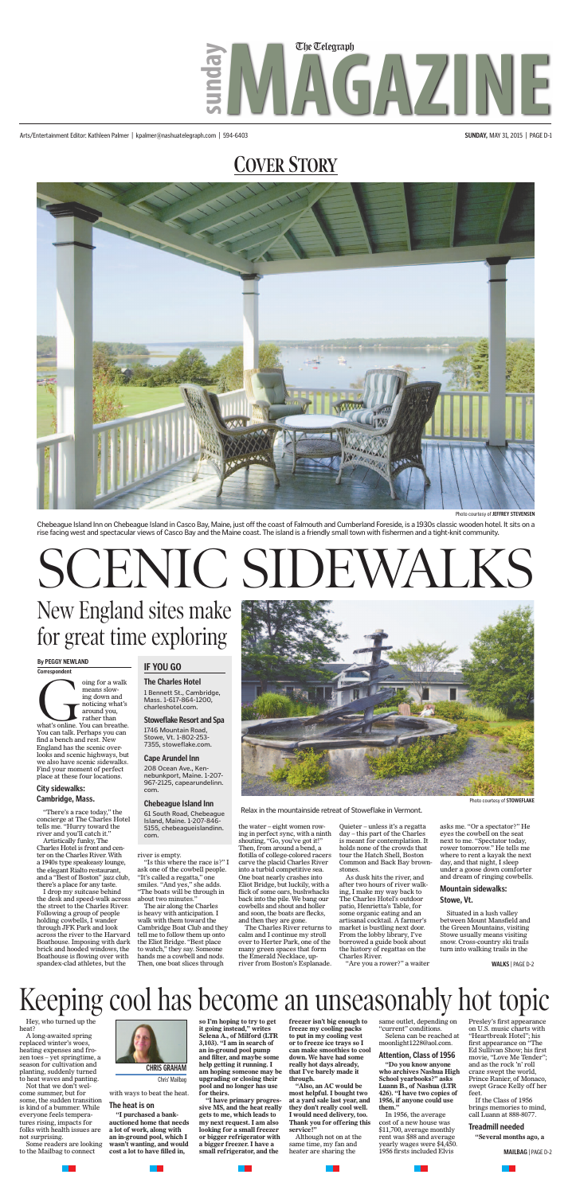### **COVER STORY**



Arts/Entertainment Editor: Kathleen Palmer | kpalmer@nashuatelegraph.com | 594-6403 **SUNDAY,** MAY 31, 2015 | PAGE D-1

## **MAGAZINE** The Telegraph **sunday**

## Keeping cool has become an unseasonably hot topic

Hey, who turned up the heat?

A long-awaited spring replaced winter's woes, heating expenses and frozen toes – yet springtime, a season for cultivation and planting, suddenly turned to heat waves and panting.

Not that we don't welcome summer, but for some, the sudden transition is kind of a bummer. While everyone feels temperatures rising, impacts for folks with health issues are not surprising.

Some readers are looking to the Mailbag to connect

with ways to beat the heat.

#### **The heat is on**

**"I purchased a bankauctioned home that needs a lot of work, along with an in-ground pool, which I wasn't wanting, and would cost a lot to have filled in,** 

**so I'm hoping to try to get it going instead," writes Selena A., of Milford (LTR 3,103). "I am in search of an in-ground pool pump and filter, and maybe some help getting it running. I am hoping someone may be upgrading or closing their pool and no longer has use for theirs.**

**"I have primary progressive MS, and the heat really gets to me, which leads to my next request. I am also looking for a small freezer or bigger refrigerator with a bigger freezer. I have a small refrigerator, and the** 

**freezer isn't big enough to freeze my cooling packs to put in my cooling vest or to freeze ice trays so I can make smoothies to cool down. We have had some really hot days already, that I've barely made it through.**

**"Also, an AC would be most helpful. I bought two at a yard sale last year, and they don't really cool well. I would need delivery, too. Thank you for offering this service!"**

oing for a walk<br>
means slow-<br>
ing down and<br>
noticing what's<br>
around you,<br>
rather than<br>
What's online. You can breathe.<br>
You can talk. Perhaps you can means slowing down and noticing what's around you, rather than You can talk. Perhaps you can find a bench and rest. New England has the scenic overlooks and scenic highways, but we also have scenic sidewalks. Find your moment of perfect place at these four locations.

> Although not on at the same time, my fan and heater are sharing the

same outlet, depending on "current" conditions. Selena can be reached at moonlight1228@aol.com.

#### **Attention, Class of 1956**

**"Do you know anyone who archives Nashua High School yearbooks?" asks Luann B., of Nashua (LTR 426). "I have two copies of 1956, if anyone could use them."**

In 1956, the average cost of a new house was \$11,700, average monthly rent was \$88 and average yearly wages were \$4,450. 1956 firsts included Elvis

Presley's first appearance on U.S. music charts with "Heartbreak Hotel"; his first appearance on "The Ed Sullivan Show; his first movie, "Love Me Tender"; and as the rock 'n' roll craze swept the world, Prince Ranier, of Monaco, swept Grace Kelly off her feet.

If the Class of 1956 brings memories to mind, call Luann at 888-8077.

#### **Treadmill needed**

**"Several months ago, a** 



Chris' Mailbag

**MAILBAG** | PAGE D-2

Photo courtesy of **JEFFREY STEVENSEN**

Chebeague Island Inn on Chebeague Island in Casco Bay, Maine, just off the coast of Falmouth and Cumberland Foreside, is a 1930s classic wooden hotel. It sits on a rise facing west and spectacular views of Casco Bay and the Maine coast. The island is a friendly small town with fishermen and a tight-knit community.

# SCENIC SIDE

#### **City sidewalks: Cambridge, Mass.**

"There's a race today," the concierge at The Charles Hotel tells me. "Hurry toward the river and you'll catch it."

Artistically funky, The Charles Hotel is front and center on the Charles River. With a 1940s type speakeasy lounge, the elegant Rialto restaurant, and a "Best of Boston" jazz club, there's a place for any taste.

I drop my suitcase behind the desk and speed-walk across the street to the Charles River. Following a group of people holding cowbells, I wander through JFK Park and look across the river to the Harvard Boathouse. Imposing with dark brick and hooded windows, the Boathouse is flowing over with spandex-clad athletes, but the

river is empty.

"Is this where the race is?" I ask one of the cowbell people. "It's called a regatta," one smiles. "And yes," she adds. "The boats will be through in about two minutes."

The air along the Charles is heavy with anticipation. I walk with them toward the Cambridge Boat Club and they tell me to follow them up onto the Eliot Bridge. "Best place to watch," they say. Someone hands me a cowbell and nods. Then, one boat slices through

the water – eight women rowing in perfect sync, with a ninth shouting, "Go, you've got it!" Then, from around a bend, a flotilla of college-colored racers carve the placid Charles River into a turbid competitive sea. One boat nearly crashes into Eliot Bridge, but luckily, with a flick of some oars, bushwhacks back into the pile. We bang our cowbells and shout and holler and soon, the boats are flecks, and then they are gone.

The Charles River returns to calm and I continue my stroll over to Herter Park, one of the many green spaces that form the Emerald Necklace, upriver from Boston's Esplanade.

Quieter – unless it's a regatta day – this part of the Charles is meant for contemplation. It holds none of the crowds that tour the Hatch Shell, Boston Common and Back Bay brownstones.

As dusk hits the river, and after two hours of river walking, I make my way back to The Charles Hotel's outdoor patio, Henrietta's Table, for some organic eating and an artisanal cocktail. A farmer's market is bustling next door. From the lobby library, I've borrowed a guide book about the history of regattas on the Charles River.

"Are you a rower?" a waiter

asks me. "Or a spectator?" He eyes the cowbell on the seat next to me. "Spectator today, rower tomorrow." He tells me where to rent a kayak the next day, and that night, I sleep under a goose down comforter and dream of ringing cowbells.

#### **Mountain sidewalks: Stowe, Vt.**

Situated in a lush valley between Mount Mansfield and the Green Mountains, visiting Stowe usually means visiting snow. Cross-country ski trails turn into walking trails in the

#### **By PEGGY NEWLAND**

**Correspondent**

New England sites make for great time exploring



#### **IF YOU GO**

#### **The Charles Hotel**

1 Bennett St., Cambridge, Mass. 1-617-864-1200, charleshotel.com.

#### **Stoweflake Resort and Spa**

1746 Mountain Road, Stowe, Vt. 1-802-253- 7355, stoweflake.com.

#### **Cape Arundel Inn**

208 Ocean Ave., Kennebunkport, Maine. 1-207- 967-2125, capearundelinn. com.

#### **Chebeague Island Inn**

61 South Road, Chebeague Island, Maine. 1-207-846- 5155, chebeagueislandinn. com.

Photo courtesy of **STOWEFLAKE**

Relax in the mountainside retreat of Stoweflake in Vermont.

**WALKS** | PAGE D-2